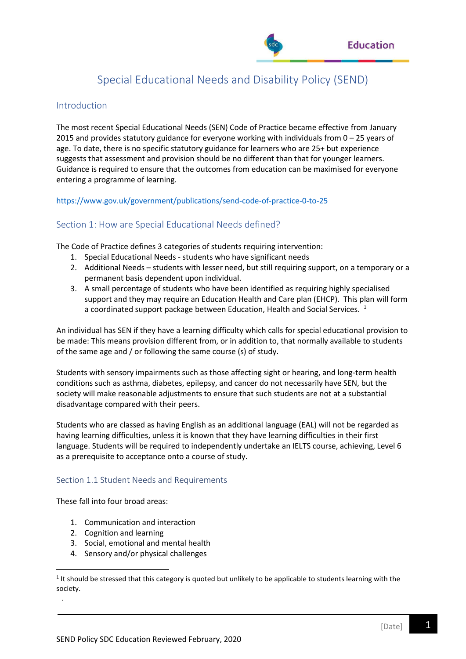

# Special Educational Needs and Disability Policy (SEND)

# Introduction

The most recent Special Educational Needs (SEN) Code of Practice became effective from January 2015 and provides statutory guidance for everyone working with individuals from 0 – 25 years of age. To date, there is no specific statutory guidance for learners who are 25+ but experience suggests that assessment and provision should be no different than that for younger learners. Guidance is required to ensure that the outcomes from education can be maximised for everyone entering a programme of learning.

<https://www.gov.uk/government/publications/send-code-of-practice-0-to-25>

# Section 1: How are Special Educational Needs defined?

The Code of Practice defines 3 categories of students requiring intervention:

- 1. Special Educational Needs students who have significant needs
- 2. Additional Needs students with lesser need, but still requiring support, on a temporary or a permanent basis dependent upon individual.
- 3. A small percentage of students who have been identified as requiring highly specialised support and they may require an Education Health and Care plan (EHCP). This plan will form a coordinated support package between Education, Health and Social Services.  $^1$

An individual has SEN if they have a learning difficulty which calls for special educational provision to be made: This means provision different from, or in addition to, that normally available to students of the same age and / or following the same course (s) of study.

Students with sensory impairments such as those affecting sight or hearing, and long-term health conditions such as asthma, diabetes, epilepsy, and cancer do not necessarily have SEN, but the society will make reasonable adjustments to ensure that such students are not at a substantial disadvantage compared with their peers.

Students who are classed as having English as an additional language (EAL) will not be regarded as having learning difficulties, unless it is known that they have learning difficulties in their first language. Students will be required to independently undertake an IELTS course, achieving, Level 6 as a prerequisite to acceptance onto a course of study.

## Section 1.1 Student Needs and Requirements

These fall into four broad areas:

- 1. Communication and interaction
- 2. Cognition and learning

.

- 3. Social, emotional and mental health
- 4. Sensory and/or physical challenges

 $1$  It should be stressed that this category is quoted but unlikely to be applicable to students learning with the society.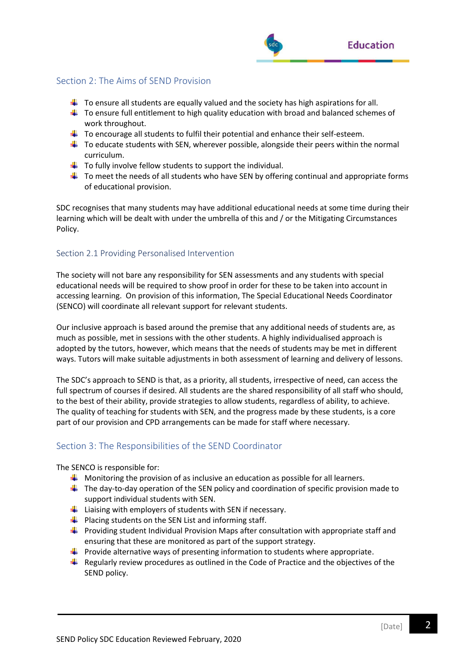

# Section 2: The Aims of SEND Provision

- $\ddot{\phantom{1}}$  To ensure all students are equally valued and the society has high aspirations for all.
- $\downarrow$  To ensure full entitlement to high quality education with broad and balanced schemes of work throughout.
- $\ddot{+}$  To encourage all students to fulfil their potential and enhance their self-esteem.
- $\ddot{+}$  To educate students with SEN, wherever possible, alongside their peers within the normal curriculum.
- $\ddot{\phantom{1}}$  To fully involve fellow students to support the individual.
- $\ddot{\phantom{1}}$  To meet the needs of all students who have SEN by offering continual and appropriate forms of educational provision.

SDC recognises that many students may have additional educational needs at some time during their learning which will be dealt with under the umbrella of this and / or the Mitigating Circumstances Policy.

## Section 2.1 Providing Personalised Intervention

The society will not bare any responsibility for SEN assessments and any students with special educational needs will be required to show proof in order for these to be taken into account in accessing learning. On provision of this information, The Special Educational Needs Coordinator (SENCO) will coordinate all relevant support for relevant students.

Our inclusive approach is based around the premise that any additional needs of students are, as much as possible, met in sessions with the other students. A highly individualised approach is adopted by the tutors, however, which means that the needs of students may be met in different ways. Tutors will make suitable adjustments in both assessment of learning and delivery of lessons.

The SDC's approach to SEND is that, as a priority, all students, irrespective of need, can access the full spectrum of courses if desired. All students are the shared responsibility of all staff who should, to the best of their ability, provide strategies to allow students, regardless of ability, to achieve. The quality of teaching for students with SEN, and the progress made by these students, is a core part of our provision and CPD arrangements can be made for staff where necessary.

# Section 3: The Responsibilities of the SEND Coordinator

The SENCO is responsible for:

- $\downarrow$  Monitoring the provision of as inclusive an education as possible for all learners.
- $\ddot{\phantom{1}}$  The day-to-day operation of the SEN policy and coordination of specific provision made to support individual students with SEN.
- $\downarrow$  Liaising with employers of students with SEN if necessary.
- $\downarrow$  Placing students on the SEN List and informing staff.
- **Providing student Individual Provision Maps after consultation with appropriate staff and** ensuring that these are monitored as part of the support strategy.
- $\ddot{\phantom{1}}$  Provide alternative ways of presenting information to students where appropriate.
- $\ddot{\phantom{1}}$  Regularly review procedures as outlined in the Code of Practice and the objectives of the SEND policy.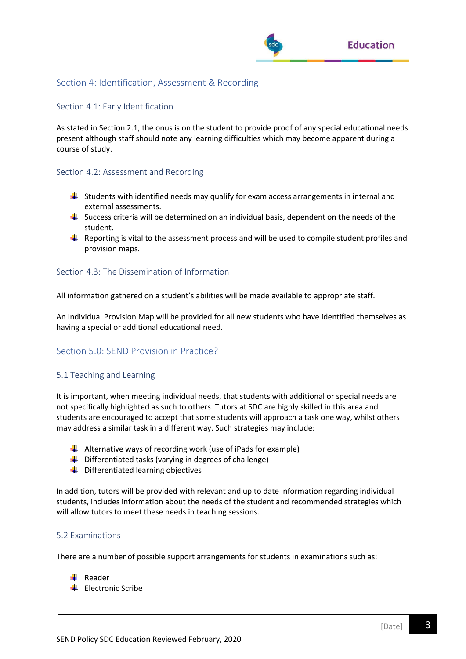

## Section 4: Identification, Assessment & Recording

#### Section 4.1: Early Identification

As stated in Section 2.1, the onus is on the student to provide proof of any special educational needs present although staff should note any learning difficulties which may become apparent during a course of study.

#### Section 4.2: Assessment and Recording

- $\ddot{\phantom{1}}$  Students with identified needs may qualify for exam access arrangements in internal and external assessments.
- $\frac{1}{2}$  Success criteria will be determined on an individual basis, dependent on the needs of the student.
- $\ddot{+}$  Reporting is vital to the assessment process and will be used to compile student profiles and provision maps.

#### Section 4.3: The Dissemination of Information

All information gathered on a student's abilities will be made available to appropriate staff.

An Individual Provision Map will be provided for all new students who have identified themselves as having a special or additional educational need.

# Section 5.0: SEND Provision in Practice?

## 5.1 Teaching and Learning

It is important, when meeting individual needs, that students with additional or special needs are not specifically highlighted as such to others. Tutors at SDC are highly skilled in this area and students are encouraged to accept that some students will approach a task one way, whilst others may address a similar task in a different way. Such strategies may include:

- $\downarrow$  Alternative ways of recording work (use of iPads for example)
- $\downarrow$  Differentiated tasks (varying in degrees of challenge)
- $\downarrow$  Differentiated learning objectives

In addition, tutors will be provided with relevant and up to date information regarding individual students, includes information about the needs of the student and recommended strategies which will allow tutors to meet these needs in teaching sessions.

#### 5.2 Examinations

There are a number of possible support arrangements for students in examinations such as:

- $\downarrow$  Reader
- $\leftarrow$  Electronic Scribe